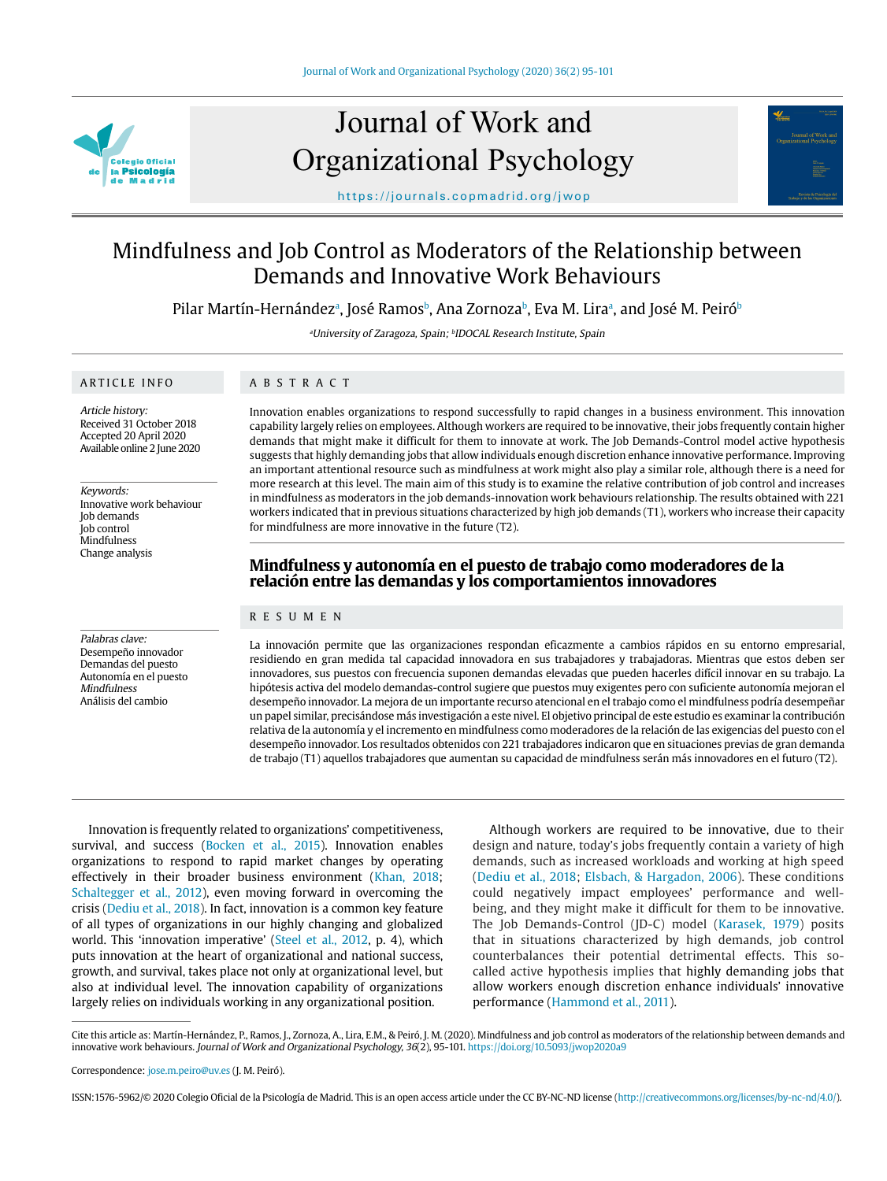

# Journal of Work and Organizational Psychology



https://journals.copmadrid.org/jwop

# Mindfulness and Job Control as Moderators of the Relationship between Demands and Innovative Work Behaviours

Pilar Martín-Hernándezª, José Ramosʰ, Ana Zornozaʰ, Eva M. Liraª, and José M. Peiróʰ

aUniversity of Zaragoza, Spain; bIDOCAL Research Institute, Spain

# ARTICLE INFO

Article history: Received 31 October 2018 Accepted 20 April 2020 Available online 2 June 2020

Keywords: Innovative work behaviour Job demands Job control **Mindfulness** Change analysis

Palabras clave: Desempeño innovador Demandas del puesto Autonomía en el puesto Mindfulness Análisis del cambio

# ABSTRACT

Innovation enables organizations to respond successfully to rapid changes in a business environment. This innovation capability largely relies on employees. Although workers are required to be innovative, their jobs frequently contain higher demands that might make it difficult for them to innovate at work. The Job Demands-Control model active hypothesis suggests that highly demanding jobs that allow individuals enough discretion enhance innovative performance. Improving an important attentional resource such as mindfulness at work might also play a similar role, although there is a need for more research at this level. The main aim of this study is to examine the relative contribution of job control and increases in mindfulness as moderators in the job demands-innovation work behaviours relationship. The results obtained with 221 workers indicated that in previous situations characterized by high job demands (T1), workers who increase their capacity for mindfulness are more innovative in the future (T2).

# **Mindfulness y autonomía en el puesto de trabajo como moderadores de la relación entre las demandas y los comportamientos innovadores**

# RESUMEN

La innovación permite que las organizaciones respondan eficazmente a cambios rápidos en su entorno empresarial, residiendo en gran medida tal capacidad innovadora en sus trabajadores y trabajadoras. Mientras que estos deben ser innovadores, sus puestos con frecuencia suponen demandas elevadas que pueden hacerles difícil innovar en su trabajo. La hipótesis activa del modelo demandas-control sugiere que puestos muy exigentes pero con suficiente autonomía mejoran el desempeño innovador. La mejora de un importante recurso atencional en el trabajo como el mindfulness podría desempeñar un papel similar, precisándose más investigación a este nivel. El objetivo principal de este estudio es examinar la contribución relativa de la autonomía y el incremento en mindfulness como moderadores de la relación de las exigencias del puesto con el desempeño innovador. Los resultados obtenidos con 221 trabajadores indicaron que en situaciones previas de gran demanda de trabajo (T1) aquellos trabajadores que aumentan su capacidad de mindfulness serán más innovadores en el futuro (T2).

Innovation is frequently related to organizations' competitiveness, survival, and success (Bocken et al., 2015). Innovation enables organizations to respond to rapid market changes by operating effectively in their broader business environment (Khan, 2018; Schaltegger et al., 2012), even moving forward in overcoming the crisis (Dediu et al., 2018). In fact, innovation is a common key feature of all types of organizations in our highly changing and globalized world. This 'innovation imperative' (Steel et al., 2012, p. 4), which puts innovation at the heart of organizational and national success, growth, and survival, takes place not only at organizational level, but also at individual level. The innovation capability of organizations largely relies on individuals working in any organizational position.

Although workers are required to be innovative, due to their design and nature, today's jobs frequently contain a variety of high demands, such as increased workloads and working at high speed (Dediu et al., 2018; Elsbach, & Hargadon, 2006). These conditions could negatively impact employees' performance and wellbeing, and they might make it difficult for them to be innovative. The Job Demands-Control (JD-C) model (Karasek, 1979) posits that in situations characterized by high demands, job control counterbalances their potential detrimental effects. This socalled active hypothesis implies that highly demanding jobs that allow workers enough discretion enhance individuals' innovative performance (Hammond et al., 2011).

Cite this article as: Martín-Hernández, P., Ramos, J., Zornoza, A., Lira, E.M., & Peiró, J. M. (2020). Mindfulness and job control as moderators of the relationship between demands and innovative work behaviours. Journal of Work and Organizational Psychology, 36(2), 95-101. https://doi.org/10.5093/jwop2020a9

ISSN:1576-5962/© 2020 Colegio Oficial de la Psicología de Madrid. This is an open access article under the CC BY-NC-ND license (http://creativecommons.org/licenses/by-nc-nd/4.0/).

Correspondence: jose.m.peiro@uv.es (J. M. Peiró).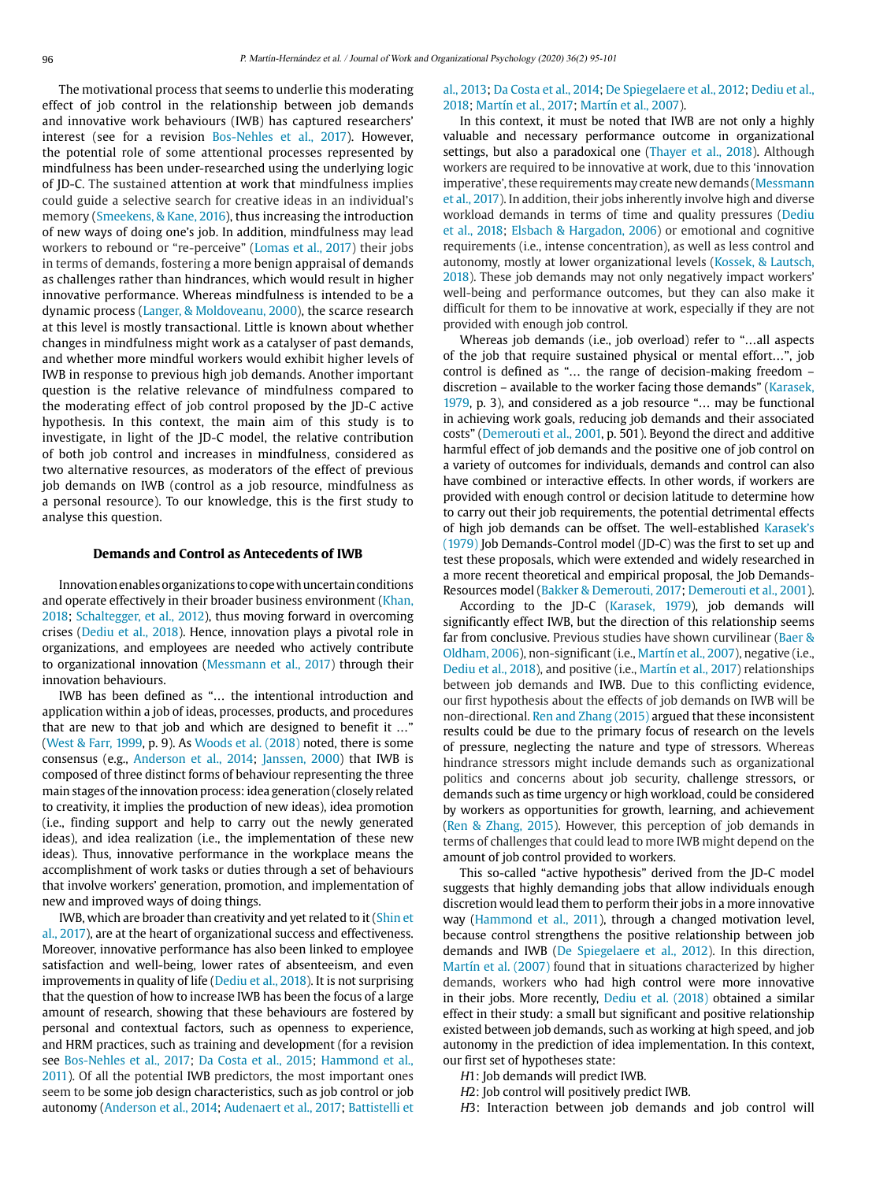The motivational process that seems to underlie this moderating effect of job control in the relationship between job demands and innovative work behaviours (IWB) has captured researchers' interest (see for a revision Bos-Nehles et al., 2017). However, the potential role of some attentional processes represented by mindfulness has been under-researched using the underlying logic of JD-C. The sustained attention at work that mindfulness implies could guide a selective search for creative ideas in an individual's memory (Smeekens, & Kane, 2016), thus increasing the introduction of new ways of doing one's job. In addition, mindfulness may lead workers to rebound or "re-perceive" (Lomas et al., 2017) their jobs in terms of demands, fostering a more benign appraisal of demands as challenges rather than hindrances, which would result in higher innovative performance. Whereas mindfulness is intended to be a dynamic process (Langer, & Moldoveanu, 2000), the scarce research at this level is mostly transactional. Little is known about whether changes in mindfulness might work as a catalyser of past demands, and whether more mindful workers would exhibit higher levels of IWB in response to previous high job demands. Another important question is the relative relevance of mindfulness compared to the moderating effect of job control proposed by the JD-C active hypothesis. In this context, the main aim of this study is to investigate, in light of the JD-C model, the relative contribution of both job control and increases in mindfulness, considered as two alternative resources, as moderators of the effect of previous job demands on IWB (control as a job resource, mindfulness as a personal resource). To our knowledge, this is the first study to analyse this question.

#### **Demands and Control as Antecedents of IWB**

Innovation enables organizations to cope with uncertain conditions and operate effectively in their broader business environment (Khan, 2018; Schaltegger, et al., 2012), thus moving forward in overcoming crises (Dediu et al., 2018). Hence, innovation plays a pivotal role in organizations, and employees are needed who actively contribute to organizational innovation (Messmann et al., 2017) through their innovation behaviours.

IWB has been defined as "… the intentional introduction and application within a job of ideas, processes, products, and procedures that are new to that job and which are designed to benefit it …" (West & Farr, 1999, p. 9). As Woods et al. (2018) noted, there is some consensus (e.g., Anderson et al., 2014; Janssen, 2000) that IWB is composed of three distinct forms of behaviour representing the three main stages of the innovation process: idea generation (closely related to creativity, it implies the production of new ideas), idea promotion (i.e., finding support and help to carry out the newly generated ideas), and idea realization (i.e., the implementation of these new ideas). Thus, innovative performance in the workplace means the accomplishment of work tasks or duties through a set of behaviours that involve workers' generation, promotion, and implementation of new and improved ways of doing things.

IWB, which are broader than creativity and yet related to it (Shin et al., 2017), are at the heart of organizational success and effectiveness. Moreover, innovative performance has also been linked to employee satisfaction and well-being, lower rates of absenteeism, and even improvements in quality of life (Dediu et al., 2018). It is not surprising that the question of how to increase IWB has been the focus of a large amount of research, showing that these behaviours are fostered by personal and contextual factors, such as openness to experience, and HRM practices, such as training and development (for a revision see Bos-Nehles et al., 2017; Da Costa et al., 2015; Hammond et al., 2011). Of all the potential IWB predictors, the most important ones seem to be some job design characteristics, such as job control or job autonomy (Anderson et al., 2014; Audenaert et al., 2017; Battistelli et

# al., 2013; Da Costa et al., 2014; De Spiegelaere et al., 2012; Dediu et al., 2018; Martín et al., 2017; Martín et al., 2007).

In this context, it must be noted that IWB are not only a highly valuable and necessary performance outcome in organizational settings, but also a paradoxical one (Thayer et al., 2018). Although workers are required to be innovative at work, due to this 'innovation imperative', these requirements may create new demands (Messmann et al., 2017). In addition, their jobs inherently involve high and diverse workload demands in terms of time and quality pressures (Dediu et al., 2018; Elsbach & Hargadon, 2006) or emotional and cognitive requirements (i.e., intense concentration), as well as less control and autonomy, mostly at lower organizational levels (Kossek, & Lautsch, 2018). These job demands may not only negatively impact workers' well-being and performance outcomes, but they can also make it difficult for them to be innovative at work, especially if they are not provided with enough job control.

Whereas job demands (i.e., job overload) refer to "…all aspects of the job that require sustained physical or mental effort…", job control is defined as "… the range of decision-making freedom – discretion – available to the worker facing those demands" (Karasek, 1979, p. 3), and considered as a job resource "… may be functional in achieving work goals, reducing job demands and their associated costs" (Demerouti et al., 2001, p. 501). Beyond the direct and additive harmful effect of job demands and the positive one of job control on a variety of outcomes for individuals, demands and control can also have combined or interactive effects. In other words, if workers are provided with enough control or decision latitude to determine how to carry out their job requirements, the potential detrimental effects of high job demands can be offset. The well-established Karasek's (1979) Job Demands-Control model (JD-C) was the first to set up and test these proposals, which were extended and widely researched in a more recent theoretical and empirical proposal, the Job Demands-Resources model (Bakker & Demerouti, 2017; Demerouti et al., 2001).

According to the JD-C (Karasek, 1979), job demands will significantly effect IWB, but the direction of this relationship seems far from conclusive. Previous studies have shown curvilinear (Baer & Oldham, 2006), non-significant (i.e., Martín et al., 2007), negative (i.e., Dediu et al., 2018), and positive (i.e., Martín et al., 2017) relationships between job demands and IWB. Due to this conflicting evidence, our first hypothesis about the effects of job demands on IWB will be non-directional. Ren and Zhang (2015) argued that these inconsistent results could be due to the primary focus of research on the levels of pressure, neglecting the nature and type of stressors. Whereas hindrance stressors might include demands such as organizational politics and concerns about job security, challenge stressors, or demands such as time urgency or high workload, could be considered by workers as opportunities for growth, learning, and achievement (Ren & Zhang, 2015). However, this perception of job demands in terms of challenges that could lead to more IWB might depend on the amount of job control provided to workers.

This so-called "active hypothesis" derived from the JD-C model suggests that highly demanding jobs that allow individuals enough discretion would lead them to perform their jobs in a more innovative way (Hammond et al., 2011), through a changed motivation level, because control strengthens the positive relationship between job demands and IWB (De Spiegelaere et al., 2012). In this direction, Martín et al. (2007) found that in situations characterized by higher demands, workers who had high control were more innovative in their jobs. More recently, Dediu et al. (2018) obtained a similar effect in their study: a small but significant and positive relationship existed between job demands, such as working at high speed, and job autonomy in the prediction of idea implementation. In this context, our first set of hypotheses state:

- H1: Job demands will predict IWB.
- H2: Job control will positively predict IWB.
- H3: Interaction between job demands and job control will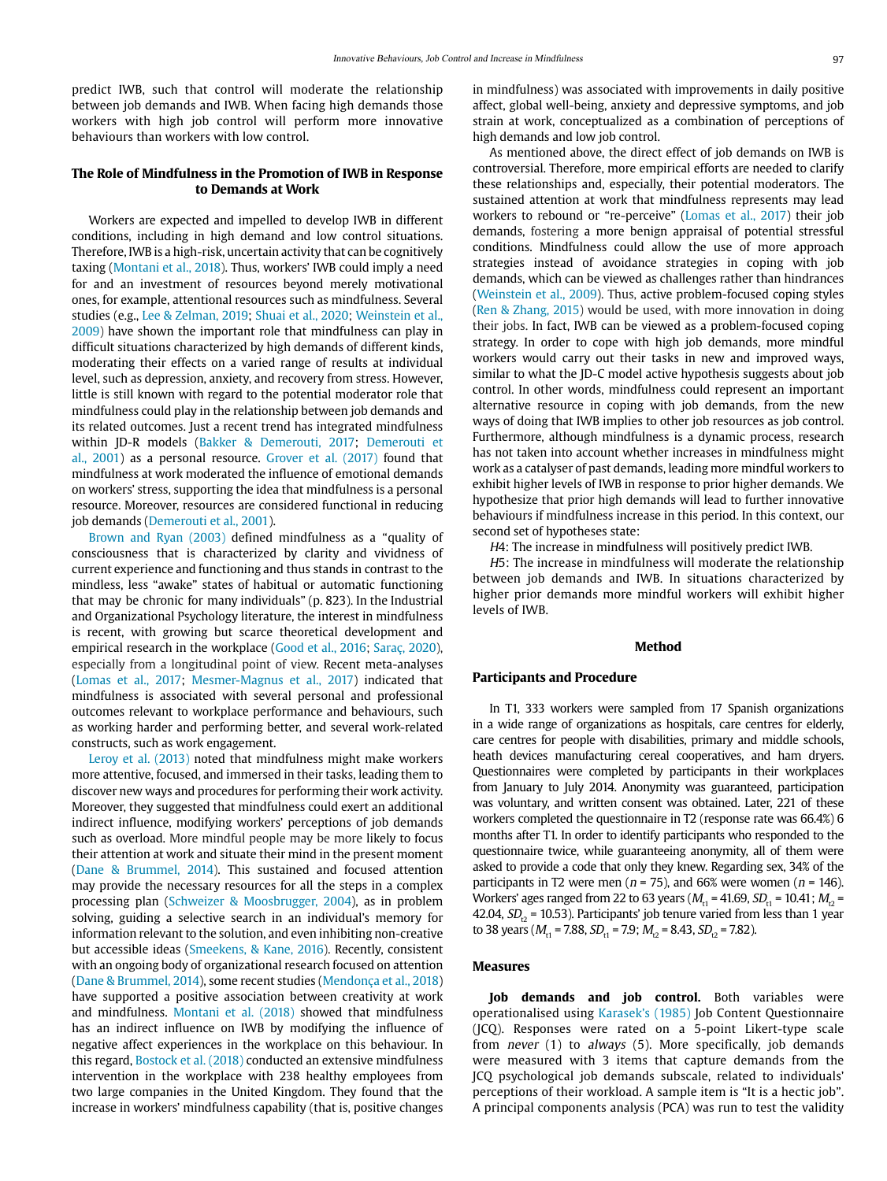predict IWB, such that control will moderate the relationship between job demands and IWB. When facing high demands those workers with high job control will perform more innovative behaviours than workers with low control.

# **The Role of Mindfulness in the Promotion of IWB in Response to Demands at Work**

Workers are expected and impelled to develop IWB in different conditions, including in high demand and low control situations. Therefore, IWB is a high-risk, uncertain activity that can be cognitively taxing (Montani et al., 2018). Thus, workers' IWB could imply a need for and an investment of resources beyond merely motivational ones, for example, attentional resources such as mindfulness. Several studies (e.g., Lee & Zelman, 2019; Shuai et al., 2020; Weinstein et al., 2009) have shown the important role that mindfulness can play in difficult situations characterized by high demands of different kinds, moderating their effects on a varied range of results at individual level, such as depression, anxiety, and recovery from stress. However, little is still known with regard to the potential moderator role that mindfulness could play in the relationship between job demands and its related outcomes. Just a recent trend has integrated mindfulness within JD-R models (Bakker & Demerouti, 2017; Demerouti et al., 2001) as a personal resource. Grover et al. (2017) found that mindfulness at work moderated the influence of emotional demands on workers' stress, supporting the idea that mindfulness is a personal resource. Moreover, resources are considered functional in reducing job demands (Demerouti et al., 2001).

Brown and Ryan (2003) defined mindfulness as a "quality of consciousness that is characterized by clarity and vividness of current experience and functioning and thus stands in contrast to the mindless, less "awake" states of habitual or automatic functioning that may be chronic for many individuals" (p. 823). In the Industrial and Organizational Psychology literature, the interest in mindfulness is recent, with growing but scarce theoretical development and empirical research in the workplace (Good et al., 2016; Saraç, 2020), especially from a longitudinal point of view. Recent meta-analyses (Lomas et al., 2017; Mesmer-Magnus et al., 2017) indicated that mindfulness is associated with several personal and professional outcomes relevant to workplace performance and behaviours, such as working harder and performing better, and several work-related constructs, such as work engagement.

Leroy et al. (2013) noted that mindfulness might make workers more attentive, focused, and immersed in their tasks, leading them to discover new ways and procedures for performing their work activity. Moreover, they suggested that mindfulness could exert an additional indirect influence, modifying workers' perceptions of job demands such as overload. More mindful people may be more likely to focus their attention at work and situate their mind in the present moment (Dane & Brummel, 2014). This sustained and focused attention may provide the necessary resources for all the steps in a complex processing plan (Schweizer & Moosbrugger, 2004), as in problem solving, guiding a selective search in an individual's memory for information relevant to the solution, and even inhibiting non-creative but accessible ideas (Smeekens, & Kane, 2016). Recently, consistent with an ongoing body of organizational research focused on attention (Dane & Brummel, 2014), some recent studies (Mendonça et al., 2018) have supported a positive association between creativity at work and mindfulness. Montani et al. (2018) showed that mindfulness has an indirect influence on IWB by modifying the influence of negative affect experiences in the workplace on this behaviour. In this regard, Bostock et al. (2018) conducted an extensive mindfulness intervention in the workplace with 238 healthy employees from two large companies in the United Kingdom. They found that the increase in workers' mindfulness capability (that is, positive changes

in mindfulness) was associated with improvements in daily positive affect, global well-being, anxiety and depressive symptoms, and job strain at work, conceptualized as a combination of perceptions of high demands and low job control.

As mentioned above, the direct effect of job demands on IWB is controversial. Therefore, more empirical efforts are needed to clarify these relationships and, especially, their potential moderators. The sustained attention at work that mindfulness represents may lead workers to rebound or "re-perceive" (Lomas et al., 2017) their job demands, fostering a more benign appraisal of potential stressful conditions. Mindfulness could allow the use of more approach strategies instead of avoidance strategies in coping with job demands, which can be viewed as challenges rather than hindrances (Weinstein et al., 2009). Thus, active problem-focused coping styles (Ren & Zhang, 2015) would be used, with more innovation in doing their jobs. In fact, IWB can be viewed as a problem-focused coping strategy. In order to cope with high job demands, more mindful workers would carry out their tasks in new and improved ways, similar to what the JD-C model active hypothesis suggests about job control. In other words, mindfulness could represent an important alternative resource in coping with job demands, from the new ways of doing that IWB implies to other job resources as job control. Furthermore, although mindfulness is a dynamic process, research has not taken into account whether increases in mindfulness might work as a catalyser of past demands, leading more mindful workers to exhibit higher levels of IWB in response to prior higher demands. We hypothesize that prior high demands will lead to further innovative behaviours if mindfulness increase in this period. In this context, our second set of hypotheses state:

H4: The increase in mindfulness will positively predict IWB.

H5: The increase in mindfulness will moderate the relationship between job demands and IWB. In situations characterized by higher prior demands more mindful workers will exhibit higher levels of IWB.

### **Method**

# **Participants and Procedure**

In T1, 333 workers were sampled from 17 Spanish organizations in a wide range of organizations as hospitals, care centres for elderly, care centres for people with disabilities, primary and middle schools, heath devices manufacturing cereal cooperatives, and ham dryers. Questionnaires were completed by participants in their workplaces from January to July 2014. Anonymity was guaranteed, participation was voluntary, and written consent was obtained. Later, 221 of these workers completed the questionnaire in T2 (response rate was 66.4%) 6 months after T1. In order to identify participants who responded to the questionnaire twice, while guaranteeing anonymity, all of them were asked to provide a code that only they knew. Regarding sex, 34% of the participants in T2 were men ( $n = 75$ ), and 66% were women ( $n = 146$ ). Workers' ages ranged from 22 to 63 years ( $M_{H1}$  = 41.69,  $SD_{H1}$  = 10.41;  $M_{H2}$  = 42.04,  $SD_{12}$  = 10.53). Participants' job tenure varied from less than 1 year to 38 years ( $M_{t1}$  = 7.88,  $SD_{t1}$  = 7.9;  $M_{t2}$  = 8.43,  $SD_{t2}$  = 7.82).

#### **Measures**

Job demands and job control. Both variables were operationalised using Karasek's (1985) Job Content Questionnaire (JCQ). Responses were rated on a 5-point Likert-type scale from never (1) to always (5). More specifically, job demands were measured with 3 items that capture demands from the JCQ psychological job demands subscale, related to individuals' perceptions of their workload. A sample item is "It is a hectic job". A principal components analysis (PCA) was run to test the validity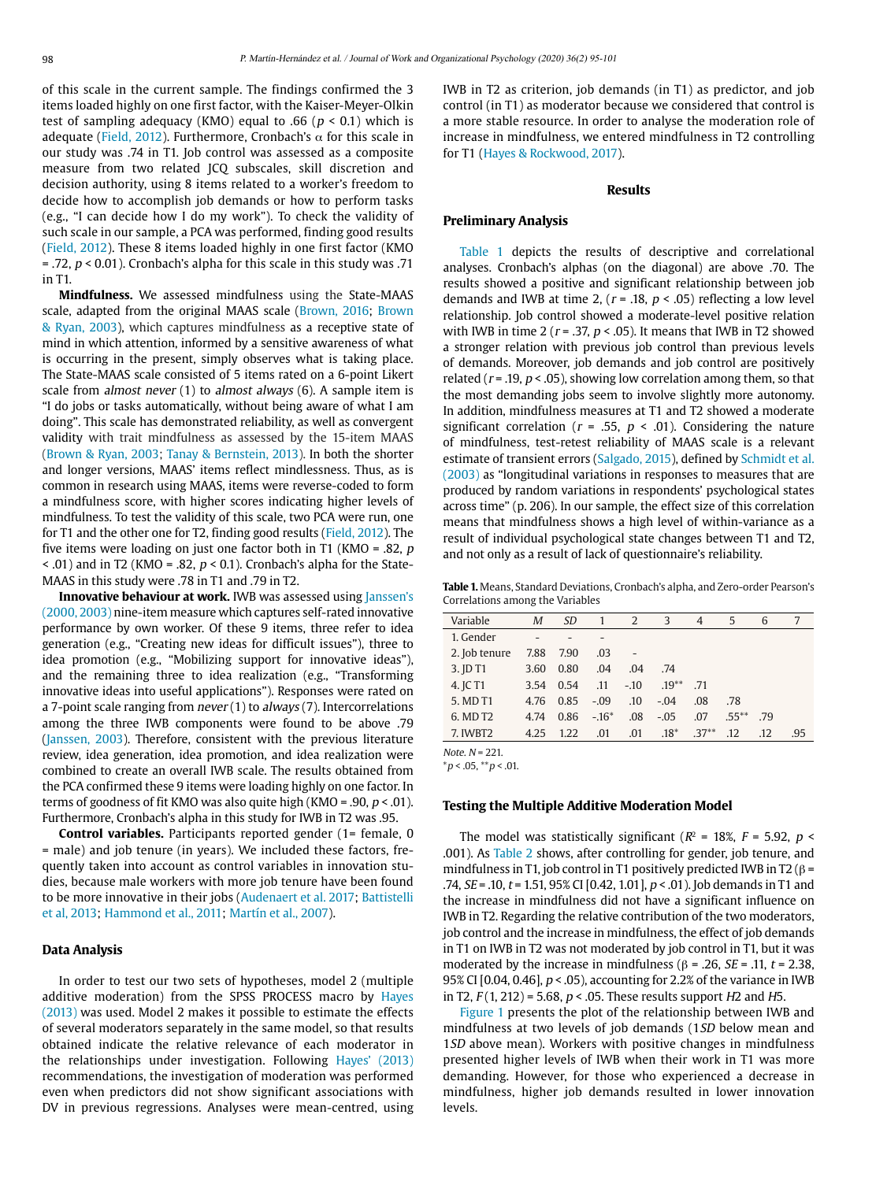of this scale in the current sample. The findings confirmed the 3 items loaded highly on one first factor, with the Kaiser-Meyer-Olkin test of sampling adequacy (KMO) equal to .66 ( $p < 0.1$ ) which is adequate (Field, 2012). Furthermore, Cronbach's  $\alpha$  for this scale in our study was .74 in T1. Job control was assessed as a composite measure from two related JCQ subscales, skill discretion and decision authority, using 8 items related to a worker's freedom to decide how to accomplish job demands or how to perform tasks (e.g., "I can decide how I do my work"). To check the validity of such scale in our sample, a PCA was performed, finding good results (Field, 2012). These 8 items loaded highly in one first factor (KMO  $=$  .72,  $p < 0.01$ ). Cronbach's alpha for this scale in this study was .71 in T1.

**Mindfulness.** We assessed mindfulness using the State-MAAS scale, adapted from the original MAAS scale (Brown, 2016; Brown & Ryan, 2003), which captures mindfulness as a receptive state of mind in which attention, informed by a sensitive awareness of what is occurring in the present, simply observes what is taking place. The State-MAAS scale consisted of 5 items rated on a 6-point Likert scale from almost never (1) to almost always (6). A sample item is "I do jobs or tasks automatically, without being aware of what I am doing". This scale has demonstrated reliability, as well as convergent validity with trait mindfulness as assessed by the 15-item MAAS (Brown & Ryan, 2003; Tanay & Bernstein, 2013). In both the shorter and longer versions, MAAS' items reflect mindlessness. Thus, as is common in research using MAAS, items were reverse-coded to form a mindfulness score, with higher scores indicating higher levels of mindfulness. To test the validity of this scale, two PCA were run, one for T1 and the other one for T2, finding good results (Field, 2012). The five items were loading on just one factor both in T1 (KMO = .82, p  $\le$  .01) and in T2 (KMO = .82,  $p \le 0.1$ ). Cronbach's alpha for the State-MAAS in this study were .78 in T1 and .79 in T2.

**Innovative behaviour at work.** IWB was assessed using Janssen's (2000, 2003) nine-item measure which captures self-rated innovative performance by own worker. Of these 9 items, three refer to idea generation (e.g., "Creating new ideas for difficult issues"), three to idea promotion (e.g., "Mobilizing support for innovative ideas"), and the remaining three to idea realization (e.g., "Transforming innovative ideas into useful applications"). Responses were rated on a 7-point scale ranging from never (1) to always (7). Intercorrelations among the three IWB components were found to be above .79 (Janssen, 2003). Therefore, consistent with the previous literature review, idea generation, idea promotion, and idea realization were combined to create an overall IWB scale. The results obtained from the PCA confirmed these 9 items were loading highly on one factor. In terms of goodness of fit KMO was also quite high (KMO = .90,  $p < .01$ ). Furthermore, Cronbach's alpha in this study for IWB in T2 was .95.

**Control variables.** Participants reported gender (1= female, 0 = male) and job tenure (in years). We included these factors, frequently taken into account as control variables in innovation studies, because male workers with more job tenure have been found to be more innovative in their jobs (Audenaert et al. 2017; Battistelli et al, 2013; Hammond et al., 2011; Martín et al., 2007).

#### **Data Analysis**

In order to test our two sets of hypotheses, model 2 (multiple additive moderation) from the SPSS PROCESS macro by Hayes (2013) was used. Model 2 makes it possible to estimate the effects of several moderators separately in the same model, so that results obtained indicate the relative relevance of each moderator in the relationships under investigation. Following Hayes' (2013) recommendations, the investigation of moderation was performed even when predictors did not show significant associations with DV in previous regressions. Analyses were mean-centred, using IWB in T2 as criterion, job demands (in T1) as predictor, and job control (in T1) as moderator because we considered that control is a more stable resource. In order to analyse the moderation role of increase in mindfulness, we entered mindfulness in T2 controlling for T1 (Hayes & Rockwood, 2017).

#### **Results**

#### **Preliminary Analysis**

Table 1 depicts the results of descriptive and correlational analyses. Cronbach's alphas (on the diagonal) are above .70. The results showed a positive and significant relationship between job demands and IWB at time 2,  $(r = .18, p < .05)$  reflecting a low level relationship. Job control showed a moderate-level positive relation with IWB in time 2 ( $r = 0.37$ ,  $p < 0.05$ ). It means that IWB in T2 showed a stronger relation with previous job control than previous levels of demands. Moreover, job demands and job control are positively related ( $r = .19$ ,  $p < .05$ ), showing low correlation among them, so that the most demanding jobs seem to involve slightly more autonomy. In addition, mindfulness measures at T1 and T2 showed a moderate significant correlation ( $r = .55$ ,  $p < .01$ ). Considering the nature of mindfulness, test-retest reliability of MAAS scale is a relevant estimate of transient errors (Salgado, 2015), defined by Schmidt et al. (2003) as "longitudinal variations in responses to measures that are produced by random variations in respondents' psychological states across time" (p. 206). In our sample, the effect size of this correlation means that mindfulness shows a high level of within-variance as a result of individual psychological state changes between T1 and T2, and not only as a result of lack of questionnaire's reliability.

**Table 1.** Means, Standard Deviations, Cronbach's alpha, and Zero-order Pearson's Correlations among the Variables

| Variable             | M    | <i>SD</i> | $\overline{1}$ | 2                        | 3        | 4       | 5        | 6   | 7   |
|----------------------|------|-----------|----------------|--------------------------|----------|---------|----------|-----|-----|
| 1. Gender            |      |           |                |                          |          |         |          |     |     |
| 2. Job tenure        | 7.88 | 7.90      | .03            | $\overline{\phantom{a}}$ |          |         |          |     |     |
| 3. JD T1             | 3.60 | 0.80      | .04            | .04                      | .74      |         |          |     |     |
| 4. JC T1             | 3.54 | 0.54      | .11            | $-.10$                   | $.19***$ | .71     |          |     |     |
| 5. MD T1             | 4.76 | 0.85      | $-.09$         | .10                      | $-.04$   | .08     | .78      |     |     |
| 6. MD T <sub>2</sub> | 4.74 | 0.86      | $-.16*$        | .08                      | $-.05$   | .07     | $.55***$ | .79 |     |
| 7. IWBT2             | 4.25 | 1.22      | .01            | .01                      | $.18*$   | $.37**$ | .12      | .12 | .95 |
|                      |      |           |                |                          |          |         |          |     |     |

Note.  $N = 221$ .

 $*p < .05, **p < .01.$ 

#### **Testing the Multiple Additive Moderation Model**

The model was statistically significant ( $R^2$  = 18%,  $F$  = 5.92,  $p$  < .001). As Table 2 shows, after controlling for gender, job tenure, and mindfulness in T1, job control in T1 positively predicted IWB in T2 ( $\beta$  = .74,  $SE = .10$ ,  $t = 1.51$ ,  $95\%$  CI [0.42, 1.01],  $p < .01$ ). Job demands in T1 and the increase in mindfulness did not have a significant influence on IWB in T2. Regarding the relative contribution of the two moderators, job control and the increase in mindfulness, the effect of job demands in T1 on IWB in T2 was not moderated by job control in T1, but it was moderated by the increase in mindfulness (β = .26, *SE* = .11, *t* = 2.38, 95% CI [0.04, 0.46], p < .05), accounting for 2.2% of the variance in IWB in T2,  $F(1, 212) = 5.68$ ,  $p < .05$ . These results support H2 and H5.

Figure 1 presents the plot of the relationship between IWB and mindfulness at two levels of job demands (1SD below mean and 1*SD* above mean). Workers with positive changes in mindfulness presented higher levels of IWB when their work in T1 was more demanding. However, for those who experienced a decrease in mindfulness, higher job demands resulted in lower innovation levels.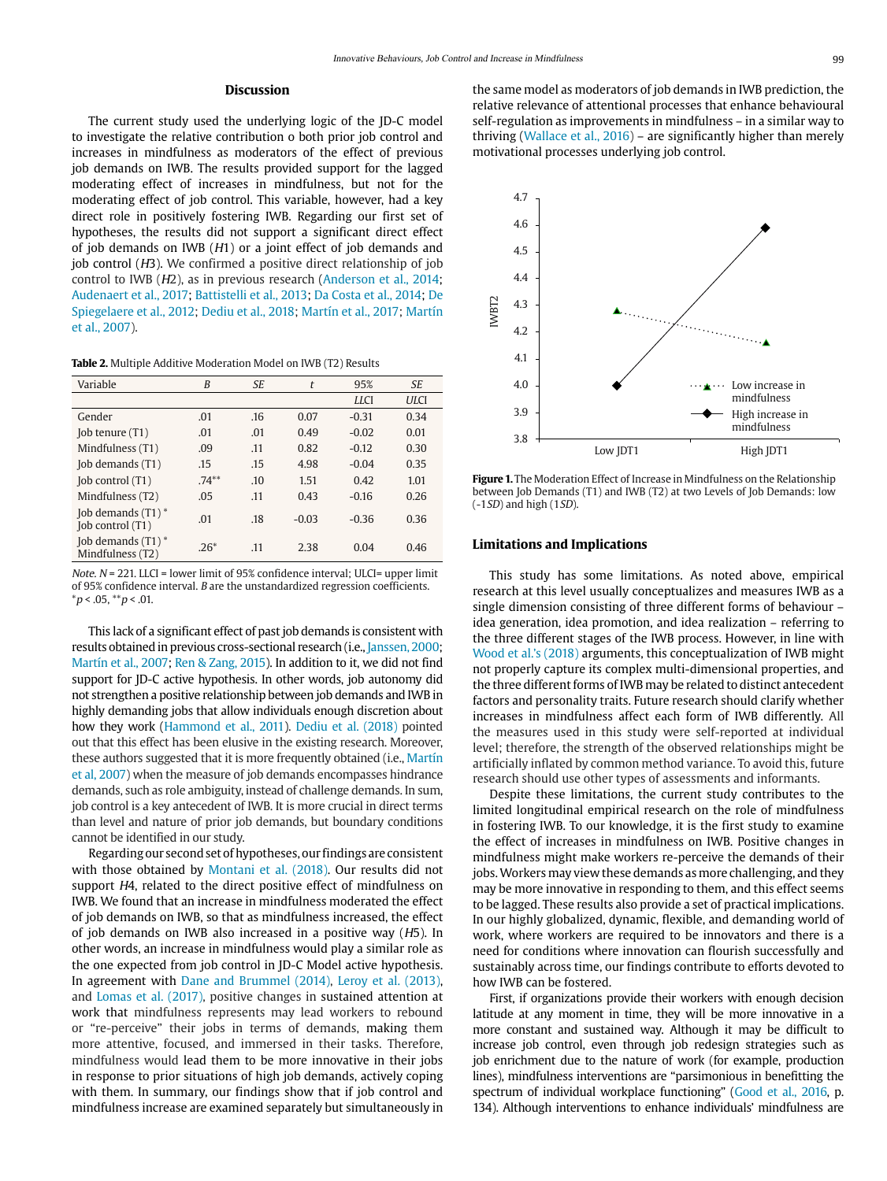# **Discussion**

The current study used the underlying logic of the JD-C model to investigate the relative contribution o both prior job control and increases in mindfulness as moderators of the effect of previous job demands on IWB. The results provided support for the lagged moderating effect of increases in mindfulness, but not for the moderating effect of job control. This variable, however, had a key direct role in positively fostering IWB. Regarding our first set of hypotheses, the results did not support a significant direct effect of job demands on IWB (H1) or a joint effect of job demands and job control (H3). We confirmed a positive direct relationship of job control to IWB (H2), as in previous research (Anderson et al., 2014; Audenaert et al., 2017; Battistelli et al., 2013; Da Costa et al., 2014; De Spiegelaere et al., 2012; Dediu et al., 2018; Martín et al., 2017; Martín et al., 2007).

**Table 2.** Multiple Additive Moderation Model on IWB (T2) Results

| Variable                                 | B        | SE  | t       | 95%         | <b>SE</b>   |
|------------------------------------------|----------|-----|---------|-------------|-------------|
|                                          |          |     |         | <b>LLCI</b> | <b>ULCI</b> |
| Gender                                   | .01      | .16 | 0.07    | $-0.31$     | 0.34        |
| (Job tenure (T1)                         | .01      | .01 | 0.49    | $-0.02$     | 0.01        |
| Mindfulness (T1)                         | .09      | .11 | 0.82    | $-0.12$     | 0.30        |
| [ob demands (T1)                         | .15      | .15 | 4.98    | $-0.04$     | 0.35        |
| [ob control (T1)                         | $.74***$ | .10 | 1.51    | 0.42        | 1.01        |
| Mindfulness (T2)                         | .05      | .11 | 0.43    | $-0.16$     | 0.26        |
| Job demands $(T1)^*$<br>[ob control (T1) | .01      | .18 | $-0.03$ | $-0.36$     | 0.36        |
| Job demands $(T1)^*$<br>Mindfulness (T2) | $.26*$   | .11 | 2.38    | 0.04        | 0.46        |

Note.  $N = 221$ . LLCI = lower limit of 95% confidence interval; ULCI= upper limit of 95% confidence interval. B are the unstandardized regression coefficients.  $*p < .05, **p < .01.$ 

This lack of a significant effect of past job demands is consistent with results obtained in previous cross-sectional research (i.e., Janssen, 2000; Martín et al., 2007; Ren & Zang, 2015). In addition to it, we did not find support for JD-C active hypothesis. In other words, job autonomy did not strengthen a positive relationship between job demands and IWB in highly demanding jobs that allow individuals enough discretion about how they work (Hammond et al., 2011). Dediu et al. (2018) pointed out that this effect has been elusive in the existing research. Moreover, these authors suggested that it is more frequently obtained (i.e., Martín et al, 2007) when the measure of job demands encompasses hindrance demands, such as role ambiguity, instead of challenge demands. In sum, job control is a key antecedent of IWB. It is more crucial in direct terms than level and nature of prior job demands, but boundary conditions cannot be identified in our study.

Regarding our second set of hypotheses, our findings are consistent with those obtained by Montani et al. (2018). Our results did not support H4, related to the direct positive effect of mindfulness on IWB. We found that an increase in mindfulness moderated the effect of job demands on IWB, so that as mindfulness increased, the effect of job demands on IWB also increased in a positive way (H5). In other words, an increase in mindfulness would play a similar role as the one expected from job control in JD-C Model active hypothesis. In agreement with Dane and Brummel (2014), Leroy et al. (2013), and Lomas et al. (2017), positive changes in sustained attention at work that mindfulness represents may lead workers to rebound or "re-perceive" their jobs in terms of demands, making them more attentive, focused, and immersed in their tasks. Therefore, mindfulness would lead them to be more innovative in their jobs in response to prior situations of high job demands, actively coping with them. In summary, our findings show that if job control and mindfulness increase are examined separately but simultaneously in

the same model as moderators of job demands in IWB prediction, the relative relevance of attentional processes that enhance behavioural self-regulation as improvements in mindfulness – in a similar way to thriving (Wallace et al., 2016) – are significantly higher than merely motivational processes underlying job control.



**Figure 1.** The Moderation Effect of Increase in Mindfulness on the Relationship between Job Demands (T1) and IWB (T2) at two Levels of Job Demands: low (-1SD) and high (1SD).

#### **Limitations and Implications**

This study has some limitations. As noted above, empirical research at this level usually conceptualizes and measures IWB as a single dimension consisting of three different forms of behaviour – idea generation, idea promotion, and idea realization – referring to the three different stages of the IWB process. However, in line with Wood et al.'s (2018) arguments, this conceptualization of IWB might not properly capture its complex multi-dimensional properties, and the three different forms of IWB may be related to distinct antecedent factors and personality traits. Future research should clarify whether increases in mindfulness affect each form of IWB differently. All the measures used in this study were self-reported at individual level; therefore, the strength of the observed relationships might be artificially inflated by common method variance. To avoid this, future research should use other types of assessments and informants.

Despite these limitations, the current study contributes to the limited longitudinal empirical research on the role of mindfulness in fostering IWB. To our knowledge, it is the first study to examine the effect of increases in mindfulness on IWB. Positive changes in mindfulness might make workers re-perceive the demands of their jobs. Workers may view these demands as more challenging, and they may be more innovative in responding to them, and this effect seems to be lagged. These results also provide a set of practical implications. In our highly globalized, dynamic, flexible, and demanding world of work, where workers are required to be innovators and there is a need for conditions where innovation can flourish successfully and sustainably across time, our findings contribute to efforts devoted to how IWB can be fostered.

First, if organizations provide their workers with enough decision latitude at any moment in time, they will be more innovative in a more constant and sustained way. Although it may be difficult to increase job control, even through job redesign strategies such as job enrichment due to the nature of work (for example, production lines), mindfulness interventions are "parsimonious in benefitting the spectrum of individual workplace functioning" (Good et al., 2016, p. 134). Although interventions to enhance individuals' mindfulness are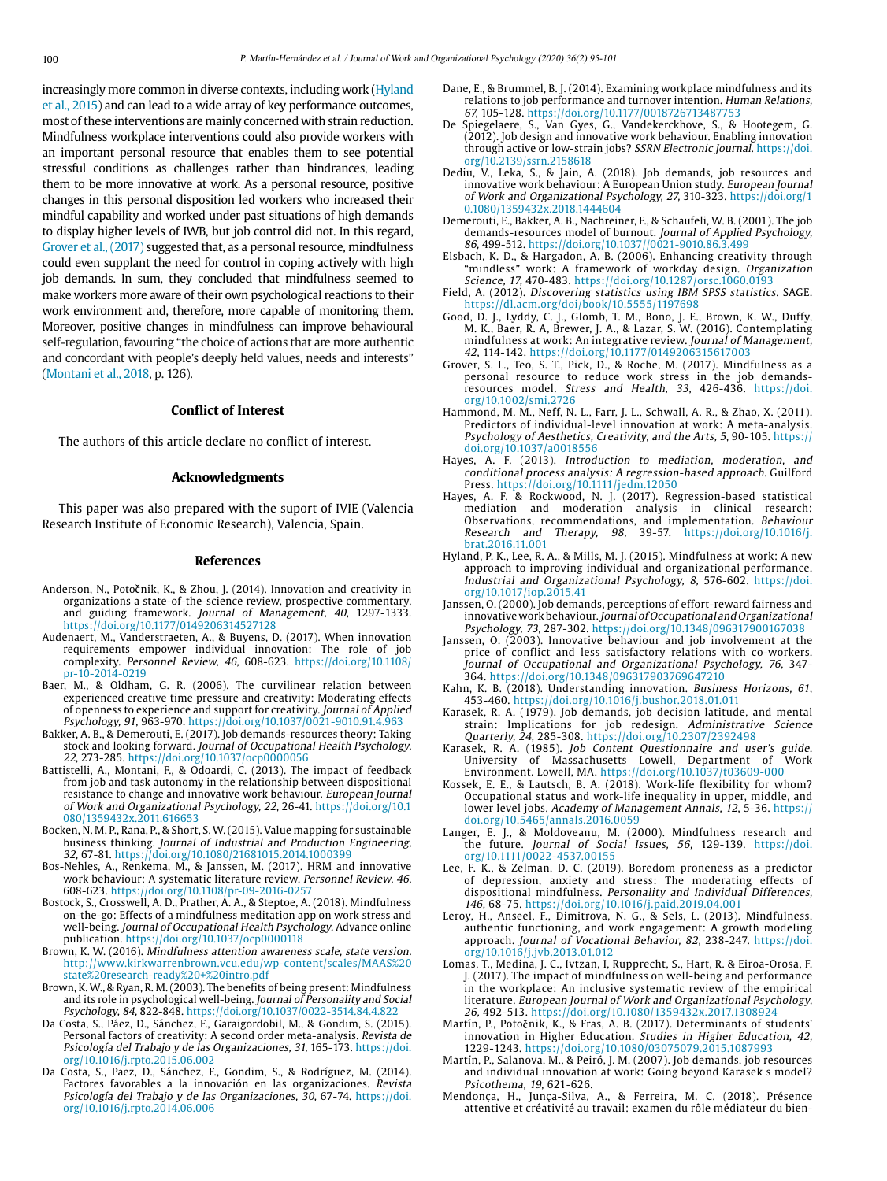increasingly more common in diverse contexts, including work (Hyland et al., 2015) and can lead to a wide array of key performance outcomes, most of these interventions are mainly concerned with strain reduction. Mindfulness workplace interventions could also provide workers with an important personal resource that enables them to see potential stressful conditions as challenges rather than hindrances, leading them to be more innovative at work. As a personal resource, positive changes in this personal disposition led workers who increased their mindful capability and worked under past situations of high demands to display higher levels of IWB, but job control did not. In this regard, Grover et al., (2017) suggested that, as a personal resource, mindfulness could even supplant the need for control in coping actively with high job demands. In sum, they concluded that mindfulness seemed to make workers more aware of their own psychological reactions to their work environment and, therefore, more capable of monitoring them. Moreover, positive changes in mindfulness can improve behavioural self-regulation, favouring "the choice of actions that are more authentic and concordant with people's deeply held values, needs and interests" (Montani et al., 2018, p. 126).

#### **Conflict of Interest**

The authors of this article declare no conflict of interest.

#### **Acknowledgments**

This paper was also prepared with the suport of IVIE (Valencia Research Institute of Economic Research), Valencia, Spain.

#### **References**

- Anderson, N., Potočnik, K., & Zhou, J. (2014). Innovation and creativity in organizations a state-of-the-science review, prospective commentary, and guiding framework. Journal of Management, 40, 1297-1333. <https://doi.org/10.1177/0149206314527128>
- Audenaert, M., Vanderstraeten, A., & Buyens, D. (2017). When innovation requirements empower individual innovation: The role of job complexity. Personnel Review, 46, 608-623. [https://doi.org/10.1108/](https://doi.org/10.1108/pr-10-2014-0219) [pr-10-2014-0219](https://doi.org/10.1108/pr-10-2014-0219)
- Baer, M., & Oldham, G. R. (2006). The curvilinear relation between experienced creative time pressure and creativity: Moderating effects of openness to experience and support for creativity. Journal of Applied Psychology, 91, 963-970.<https://doi.org/10.1037/0021-9010.91.4.963>
- Bakker, A. B., & Demerouti, E. (2017). Job demands-resources theory: Taking stock and looking forward. Journal of Occupational Health Psychology, 22, 273-285. <https://doi.org/10.1037/ocp0000056>
- Battistelli, A., Montani, F., & Odoardi, C. (2013). The impact of feedback from job and task autonomy in the relationship between dispositional resistance to change and innovative work behaviour. European Journal of Work and Organizational Psychology, 22, 26-41. [https://doi.org/10.1](https://doi.org/10.1080/1359432x.2011.616653) [080/1359432x.2011.616653](https://doi.org/10.1080/1359432x.2011.616653)
- Bocken, N. M. P., Rana, P., & Short, S. W. (2015). Value mapping for sustainable business thinking. Journal of Industrial and Production Engineering, 32, 67-81. <https://doi.org/10.1080/21681015.2014.1000399>
- Bos-Nehles, A., Renkema, M., & Janssen, M. (2017). HRM and innovative work behaviour: A systematic literature review. Personnel Review, 46, 608-623.<https://doi.org/10.1108/pr-09-2016-0257>
- Bostock, S., Crosswell, A. D., Prather, A. A., & Steptoe, A. (2018). Mindfulness on-the-go: Effects of a mindfulness meditation app on work stress and well-being. Journal of Occupational Health Psychology. Advance online publication.<https://doi.org/10.1037/ocp0000118>
- Brown, K. W. (2016). Mindfulness attention awareness scale, state version. [http://www.kirkwarrenbrown.vcu.edu/wp-content/scales/MAAS%20](http://www.kirkwarrenbrown.vcu.edu/wp-content/scales/MAAS state research-ready + intro.pdf) [state%20research-ready%20+%20intro.pdf](http://www.kirkwarrenbrown.vcu.edu/wp-content/scales/MAAS state research-ready + intro.pdf)
- Brown, K. W., & Ryan, R. M. (2003). The benefits of being present: Mindfulness and its role in psychological well-being. Journal of Personality and Social Psychology, 84, 822-848.<https://doi.org/10.1037/0022-3514.84.4.822>
- Da Costa, S., Páez, D., Sánchez, F., Garaigordobil, M., & Gondim, S. (2015). Personal factors of creativity: A second order meta-analysis. Revista de Psicología del Trabajo y de las Organizaciones, 31, 165-173. [https://doi.](https://doi.org/10.1016/j.rpto.2015.06.002) [org/10.1016/j.rpto.2015.06.002](https://doi.org/10.1016/j.rpto.2015.06.002)
- Da Costa, S., Paez, D., Sánchez, F., Gondim, S., & Rodríguez, M. (2014). Factores favorables a la innovación en las organizaciones. Revista Psicología del Trabajo y de las Organizaciones, 30, 67-74. [https://doi.](https://doi.org/10.1016/j.rpto.2014.06.006) [org/10.1016/j.rpto.2014.06.006](https://doi.org/10.1016/j.rpto.2014.06.006)
- Dane, E., & Brummel, B. J. (2014). Examining workplace mindfulness and its relations to job performance and turnover intention. Human Relations, 67, 105-128. <https://doi.org/10.1177/0018726713487753>
- De Spiegelaere, S., Van Gyes, G., Vandekerckhove, S., & Hootegem, G. (2012). Job design and innovative work behaviour. Enabling innovation through active or low-strain jobs? SSRN Electronic Journal. [https://doi.](https://doi.org/10.2139/ssrn.2158618) [org/10.2139/ssrn.2158618](https://doi.org/10.2139/ssrn.2158618)
- Dediu, V., Leka, S., & Jain, A. (2018). Job demands, job resources and innovative work behaviour: A European Union study. European Journal of Work and Organizational Psychology, 27, 310-323. [https://doi.org/1](https://doi.org/10.1080/1359432x.2018.1444604) [0.1080/1359432x.2018.1444604](https://doi.org/10.1080/1359432x.2018.1444604)
- Demerouti, E., Bakker, A. B., Nachreiner, F., & Schaufeli, W. B. (2001). The job demands-resources model of burnout. Journal of Applied Psychology, 86, 499-512. <https://doi.org/10.1037//0021-9010.86.3.499>
- Elsbach, K. D., & Hargadon, A. B. (2006). Enhancing creativity through "mindless" work: A framework of workday design. Organization Science, 17, 470-483. <https://doi.org/10.1287/orsc.1060.0193>
- Field, A. (2012). Discovering statistics using IBM SPSS statistics. SAGE. <https://dl.acm.org/doi/book/10.5555/1197698>
- Good, D. J., Lyddy, C. J., Glomb, T. M., Bono, J. E., Brown, K. W., Duffy, M. K., Baer, R. A, Brewer, J. A., & Lazar, S. W. (2016). Contemplating mindfulness at work: An integrative review. Journal of Management, 42, 114-142. <https://doi.org/10.1177/0149206315617003>
- Grover, S. L., Teo, S. T., Pick, D., & Roche, M. (2017). Mindfulness as a personal resource to reduce work stress in the job demandsresources model. Stress and Health, 33, 426-436. [https://doi.](https://doi.org/10.1002/smi.2726) [org/10.1002/smi.2726](https://doi.org/10.1002/smi.2726)
- Hammond, M. M., Neff, N. L., Farr, J. L., Schwall, A. R., & Zhao, X. (2011). Predictors of individual-level innovation at work: A meta-analysis. Psychology of Aesthetics, Creativity, and the Arts, 5, 90-105. [https://](https://doi.org/10.1037/a0018556) [doi.org/10.1037/a0018556](https://doi.org/10.1037/a0018556)
- Hayes, A. F. (2013). Introduction to mediation, moderation, and conditional process analysis: A regression-based approach. Guilford Press. <https://doi.org/10.1111/jedm.12050>
- Hayes, A. F. & Rockwood, N. J. (2017). Regression-based statistical mediation and moderation analysis in clinical research: Observations, recommendations, and implementation. Behaviour Research and Therapy, 98, 39-57. [https://doi.org/10.1016/j.](https://doi.org/10.1016/j.brat.2016.11.001) [brat.2016.11.001](https://doi.org/10.1016/j.brat.2016.11.001)
- Hyland, P. K., Lee, R. A., & Mills, M. J. (2015). Mindfulness at work: A new approach to improving individual and organizational performance. Industrial and Organizational Psychology, 8, 576-602. [https://doi.](https://doi.org/10.1017/iop.2015.41) [org/10.1017/iop.2015.41](https://doi.org/10.1017/iop.2015.41)
- Janssen, O. (2000). Job demands, perceptions of effort-reward fairness and innovative work behaviour. Journal of Occupational and Organizational Psychology, 73, 287-302. <https://doi.org/10.1348/096317900167038>
- Janssen, O. (2003). Innovative behaviour and job involvement at the price of conflict and less satisfactory relations with co-workers. Journal of Occupational and Organizational Psychology, 76, 347- 364. <https://doi.org/10.1348/096317903769647210>
- Kahn, K. B. (2018). Understanding innovation. Business Horizons, 61, 453-460. <https://doi.org/10.1016/j.bushor.2018.01.011>
- Karasek, R. A. (1979). Job demands, job decision latitude, and mental strain: Implications for job redesign. Administrative Science Quarterly, 24, 285-308. <https://doi.org/10.2307/2392498>
- Karasek, R. A. (1985). Job Content Questionnaire and user's guide. University of Massachusetts Lowell, Department of Work Environment. Lowell, MA.<https://doi.org/10.1037/t03609-000>
- Kossek, E. E., & Lautsch, B. A. (2018). Work-life flexibility for whom? Occupational status and work-life inequality in upper, middle, and lower level jobs. Academy of Management Annals, 12, 5-36. [https://](https://doi.org/10.5465/annals.2016.0059) [doi.org/10.5465/annals.2016.0059](https://doi.org/10.5465/annals.2016.0059)
- Langer, E. J., & Moldoveanu, M. (2000). Mindfulness research and the future. Journal of Social Issues, 56, 129-139. [https://doi.](https://doi.org/10.1111/0022-4537.00155) [org/10.1111/0022-4537.00155](https://doi.org/10.1111/0022-4537.00155)
- Lee, F. K., & Zelman, D. C. (2019). Boredom proneness as a predictor of depression, anxiety and stress: The moderating effects of dispositional mindfulness. Personality and Individual Differences, 146, 68-75. <https://doi.org/10.1016/j.paid.2019.04.001>
- Leroy, H., Anseel, F., Dimitrova, N. G., & Sels, L. (2013). Mindfulness, authentic functioning, and work engagement: A growth modeling approach. Journal of Vocational Behavior, 82, 238-247. [https://doi.](https://doi.org/10.1016/j.jvb.2013.01.012) [org/10.1016/j.jvb.2013.01.012](https://doi.org/10.1016/j.jvb.2013.01.012)
- Lomas, T., Medina, J. C., Ivtzan, I, Rupprecht, S., Hart, R. & Eiroa-Orosa, F. J. (2017). The impact of mindfulness on well-being and performance in the workplace: An inclusive systematic review of the empirical literature. European Journal of Work and Organizational Psychology, 26, 492-513. https://doi.org/10.1080/1359432x.2017.1308924
- Martín, P., Potočnik, K., & Fras, A. B. (2017). Determinants of students' innovation in Higher Education. Studies in Higher Education, 42, 1229-1243. <https://doi.org/10.1080/03075079.2015.1087993>
- Martín, P., Salanova, M., & Peiró, J. M. (2007). Job demands, job resources and individual innovation at work: Going beyond Karasek s model? Psicothema, 19, 621-626.
- Mendonça, H., Junça-Silva, A., & Ferreira, M. C. (2018). Présence attentive et créativité au travail: examen du rôle médiateur du bien-